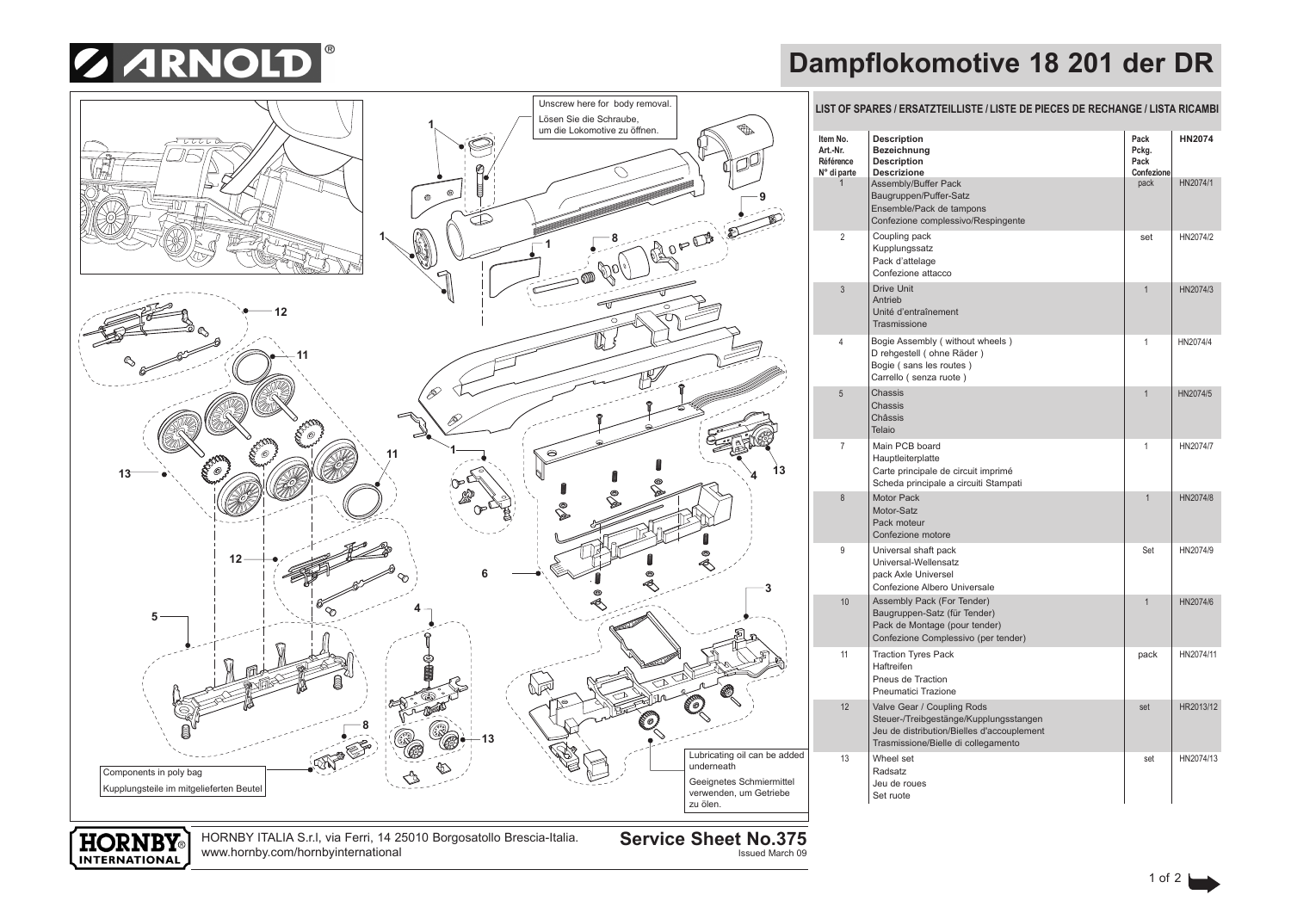

## **Dampflokomotive 18 201 der DR**



HORNBY ITALIA S.r.l, via Ferri, 14 25010 Borgosatollo Brescia-Italia.

**Service Sheet No.375**

Issued March 09

www.hornby.com/hornbyinternational

**HORNBY** INTERNATIONAL

## **LIST OF SPARES / ERSATZTEILLISTE / LISTE DE PIECES DE RECHANGE / LISTA RICAMBI**

| Item No.<br>Art.-Nr.<br>Référence<br>$N^{\circ}$ di parte | <b>Description</b><br>Bezeichnung<br><b>Description</b><br><b>Descrizione</b>                                                                             | Pack<br>Pckg.<br>Pack<br>Confezione | <b>HN2074</b> |
|-----------------------------------------------------------|-----------------------------------------------------------------------------------------------------------------------------------------------------------|-------------------------------------|---------------|
| $\mathbf{1}$                                              | Assembly/Buffer Pack<br>Baugruppen/Puffer-Satz<br>Ensemble/Pack de tampons<br>Confezione complessivo/Respingente                                          | pack                                | HN2074/1      |
| 2                                                         | Coupling pack<br>Kupplungssatz<br>Pack d'attelage<br>Confezione attacco                                                                                   | set                                 | HN2074/2      |
| 3                                                         | <b>Drive Unit</b><br>Antrieb<br>Unité d'entraînement<br>Trasmissione                                                                                      | $\mathbf{1}$                        | HN2074/3      |
| 4                                                         | Bogie Assembly (without wheels)<br>D rehgestell (ohne Räder)<br>Bogie (sans les routes)<br>Carrello (senza ruote)                                         | 1                                   | HN2074/4      |
| 5                                                         | Chassis<br>Chassis<br>Châssis<br>Telaio                                                                                                                   | $\overline{1}$                      | HN2074/5      |
| 7                                                         | Main PCB board<br>Hauptleiterplatte<br>Carte principale de circuit imprimé<br>Scheda principale a circuiti Stampati                                       | 1                                   | HN2074/7      |
| 8                                                         | Motor Pack<br>Motor-Satz<br>Pack moteur<br>Confezione motore                                                                                              | $\mathbf{1}$                        | HN2074/8      |
| 9                                                         | Universal shaft pack<br>Universal-Wellensatz<br>pack Axle Universel<br>Confezione Albero Universale                                                       | Set                                 | HN2074/9      |
| 10                                                        | Assembly Pack (For Tender)<br>Baugruppen-Satz (für Tender)<br>Pack de Montage (pour tender)<br>Confezione Complessivo (per tender)                        | $\overline{1}$                      | HN2074/6      |
| 11                                                        | <b>Traction Tyres Pack</b><br>Haftreifen<br>Pneus de Traction<br>Pneumatici Trazione                                                                      | pack                                | HN2074/11     |
| 12                                                        | Valve Gear / Coupling Rods<br>Steuer-/Treibgestänge/Kupplungsstangen<br>Jeu de distribution/Bielles d'accouplement<br>Trasmissione/Bielle di collegamento | set                                 | HR2013/12     |
| 13                                                        | Wheel set<br>Radsatz<br>Jeu de roues<br>Set ruote                                                                                                         | set                                 | HN2074/13     |